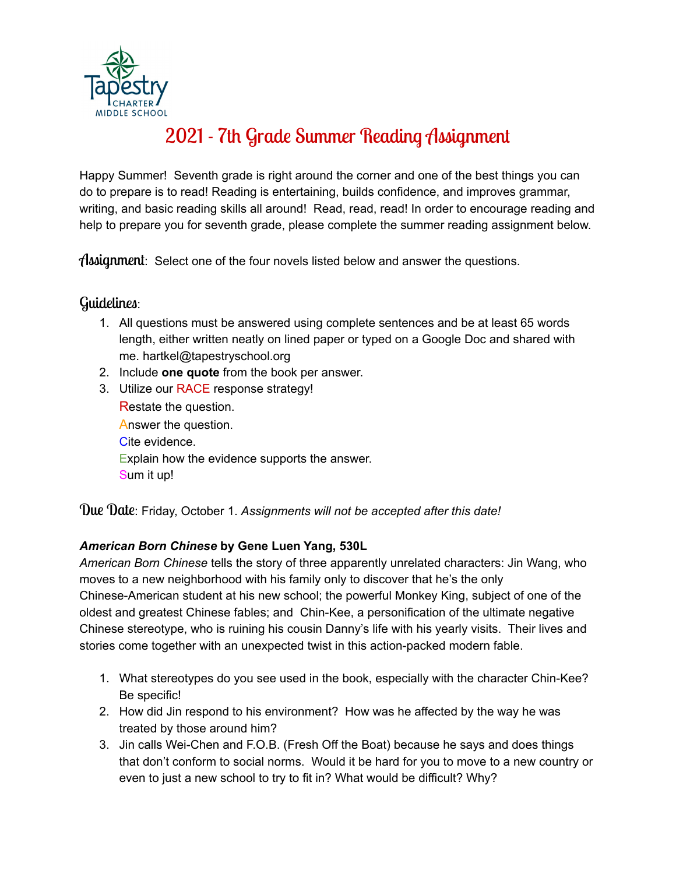

# 2021 - 7th Grade Summer Reading Assignment

Happy Summer! Seventh grade is right around the corner and one of the best things you can do to prepare is to read! Reading is entertaining, builds confidence, and improves grammar, writing, and basic reading skills all around! Read, read, read! In order to encourage reading and help to prepare you for seventh grade, please complete the summer reading assignment below.

Assignment: Select one of the four novels listed below and answer the questions.

## Guidelines:

- 1. All questions must be answered using complete sentences and be at least 65 words length, either written neatly on lined paper or typed on a Google Doc and shared with me. hartkel@tapestryschool.org
- 2. Include **one quote** from the book per answer.
- 3. Utilize our RACE response strategy! Restate the question. Answer the question. Cite evidence. Explain how the evidence supports the answer. Sum it up!

Due Date: Friday, October 1. *Assignments will not be accepted after this date!*

## *American Born Chinese* **by Gene Luen Yang, 530L**

*American Born Chinese* tells the story of three apparently unrelated characters: Jin Wang, who moves to a new neighborhood with his family only to discover that he's the only Chinese-American student at his new school; the powerful Monkey King, subject of one of the oldest and greatest Chinese fables; and Chin-Kee, a personification of the ultimate negative Chinese stereotype, who is ruining his cousin Danny's life with his yearly visits. Their lives and stories come together with an unexpected twist in this action-packed modern fable.

- 1. What stereotypes do you see used in the book, especially with the character Chin-Kee? Be specific!
- 2. How did Jin respond to his environment? How was he affected by the way he was treated by those around him?
- 3. Jin calls Wei-Chen and F.O.B. (Fresh Off the Boat) because he says and does things that don't conform to social norms. Would it be hard for you to move to a new country or even to just a new school to try to fit in? What would be difficult? Why?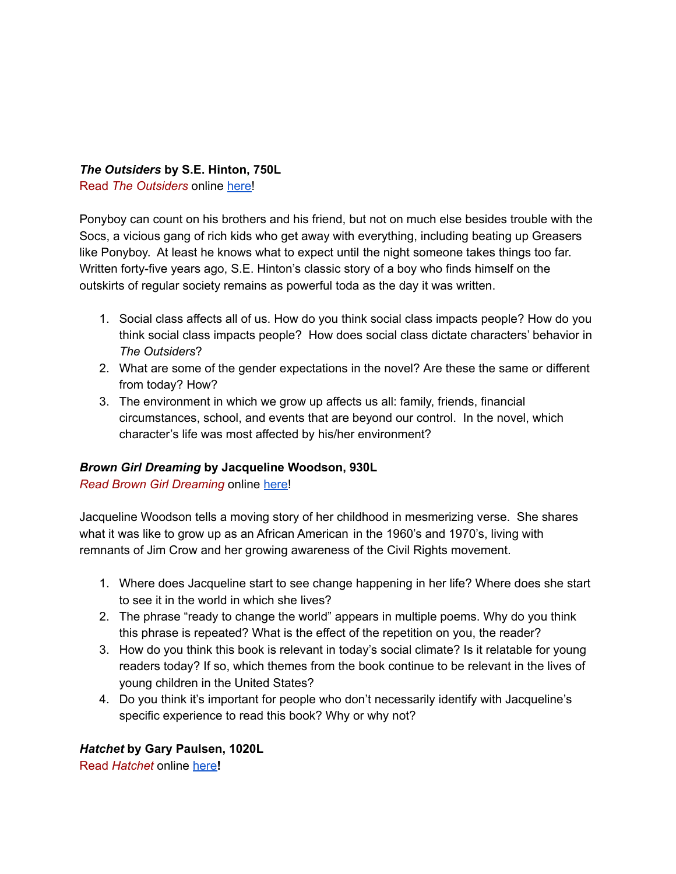### *The Outsiders* **by S.E. Hinton, 750L**

Read *The Outsiders* online [here!](https://docs.google.com/viewer?a=v&pid=sites&srcid=cmljaGxhbmQyLm9yZ3xsYXdod3xneDoyNjgzNWEzYzVjNDUxOWZi)

Ponyboy can count on his brothers and his friend, but not on much else besides trouble with the Socs, a vicious gang of rich kids who get away with everything, including beating up Greasers like Ponyboy. At least he knows what to expect until the night someone takes things too far. Written forty-five years ago, S.E. Hinton's classic story of a boy who finds himself on the outskirts of regular society remains as powerful toda as the day it was written.

- 1. Social class affects all of us. How do you think social class impacts people? How do you think social class impacts people? How does social class dictate characters' behavior in *The Outsiders*?
- 2. What are some of the gender expectations in the novel? Are these the same or different from today? How?
- 3. The environment in which we grow up affects us all: family, friends, financial circumstances, school, and events that are beyond our control. In the novel, which character's life was most affected by his/her environment?

#### *Brown Girl Dreaming* **by Jacqueline Woodson, 930L**

*Read Brown Girl Dreaming* online [here!](https://drive.google.com/file/d/1viQuaDCQemy7nRdznzer3swUTlySHZVa/view)

Jacqueline Woodson tells a moving story of her childhood in mesmerizing verse. She shares what it was like to grow up as an African American in the 1960's and 1970's, living with remnants of Jim Crow and her growing awareness of the Civil Rights movement.

- 1. Where does Jacqueline start to see change happening in her life? Where does she start to see it in the world in which she lives?
- 2. The phrase "ready to change the world" appears in multiple poems. Why do you think this phrase is repeated? What is the effect of the repetition on you, the reader?
- 3. How do you think this book is relevant in today's social climate? Is it relatable for young readers today? If so, which themes from the book continue to be relevant in the lives of young children in the United States?
- 4. Do you think it's important for people who don't necessarily identify with Jacqueline's specific experience to read this book? Why or why not?

## *Hatchet* **by Gary Paulsen, 1020L**

Read *Hatchet* online [here](https://scotland.k12.mo.us/view/637.pdf)**!**